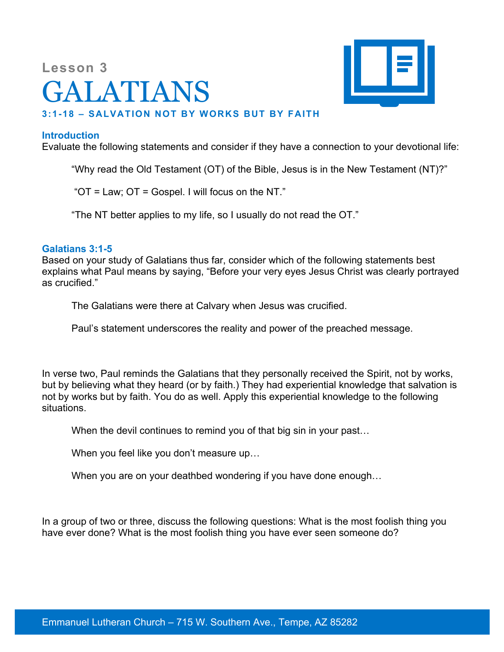# **Lesson 3** GALATIANS



# **3:1-18 – SALVATION NOT BY WORKS BUT BY FAITH**

### **Introduction**

Evaluate the following statements and consider if they have a connection to your devotional life:

"Why read the Old Testament (OT) of the Bible, Jesus is in the New Testament (NT)?"

"OT = Law; OT = Gospel. I will focus on the NT."

"The NT better applies to my life, so I usually do not read the OT."

#### **Galatians 3:1-5**

Based on your study of Galatians thus far, consider which of the following statements best explains what Paul means by saying, "Before your very eyes Jesus Christ was clearly portrayed as crucified."

The Galatians were there at Calvary when Jesus was crucified.

Paul's statement underscores the reality and power of the preached message.

In verse two, Paul reminds the Galatians that they personally received the Spirit, not by works, but by believing what they heard (or by faith.) They had experiential knowledge that salvation is not by works but by faith. You do as well. Apply this experiential knowledge to the following situations.

When the devil continues to remind you of that big sin in your past...

When you feel like you don't measure up…

When you are on your deathbed wondering if you have done enough…

In a group of two or three, discuss the following questions: What is the most foolish thing you have ever done? What is the most foolish thing you have ever seen someone do?